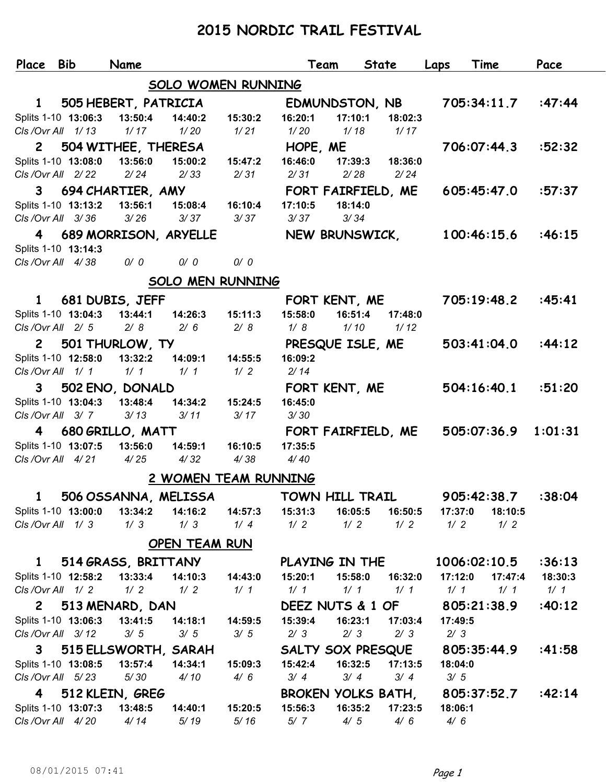## **2015 NORDIC TRAIL FESTIVAL**

| Place Bib                               |  |                     | Name                         |                                                |         | Team               | <b>State</b> | Laps    | Time         |         | Pace    |
|-----------------------------------------|--|---------------------|------------------------------|------------------------------------------------|---------|--------------------|--------------|---------|--------------|---------|---------|
|                                         |  |                     |                              | SOLO WOMEN RUNNING                             |         |                    |              |         |              |         |         |
| $\mathbf{1}$                            |  |                     | 505 HEBERT, PATRICIA         |                                                |         | EDMUNDSTON, NB     |              |         | 705:34:11.7  |         | :47:44  |
|                                         |  | Splits 1-10 13:06:3 | 13:50:4                      | 14:40:2                                        | 15:30:2 | 16:20:1            | 17:10:1      | 18:02:3 |              |         |         |
| CIs / Ovr All 1/13                      |  |                     | 1/17                         | 1/20                                           | 1/21    | 1/20               | 1/18         | 1/17    |              |         |         |
| $\mathbf{2}$                            |  |                     | 504 WITHEE, THERESA          |                                                |         | HOPE, ME           |              |         | 706:07:44.3  |         | :52:32  |
|                                         |  | Splits 1-10 13:08:0 | 13:56:0                      | 15:00:2                                        | 15:47:2 | 16:46:0            | 17:39:3      | 18:36:0 |              |         |         |
| CIs/Ovr All 2/22                        |  |                     | 2/24                         | 2/33                                           | 2/31    | 2/31               | 2/28         | 2/24    |              |         |         |
| $3^{\circ}$                             |  |                     | 694 CHARTIER, AMY            |                                                |         | FORT FAIRFIELD, ME |              |         | 605:45:47.0  |         | :57:37  |
|                                         |  | Splits 1-10 13:13:2 | 13:56:1                      | 15:08:4                                        | 16:10:4 | 17:10:5            | 18:14:0      |         |              |         |         |
| CIs/Ovr All 3/36                        |  |                     | 3/26                         | 3/37                                           | 3/37    | 3/37               | 3/34         |         |              |         |         |
| 4                                       |  |                     |                              | 689 MORRISON, ARYELLE                          |         | NEW BRUNSWICK,     |              |         | 100:46:15.6  |         | :46:15  |
| Splits 1-10 13:14:3                     |  |                     |                              |                                                |         |                    |              |         |              |         |         |
| CIs / Ovr All 4/38<br>0/0<br>0/0<br>0/0 |  |                     |                              |                                                |         |                    |              |         |              |         |         |
|                                         |  |                     |                              | <b>SOLO MEN RUNNING</b>                        |         |                    |              |         |              |         |         |
| $\mathbf{1}$                            |  |                     | 681 DUBIS, JEFF              |                                                |         | FORT KENT, ME      |              |         | 705:19:48.2  |         | :45:41  |
|                                         |  | Splits 1-10 13:04:3 | 13:44:1                      | 14:26:3                                        | 15:11:3 | 15:58:0            | 16:51:4      | 17:48:0 |              |         |         |
| CIs/Ovr All 2/5                         |  |                     | 2/8                          | 2/6                                            | 2/8     | 1/8                | 1/10         | 1/12    |              |         |         |
|                                         |  |                     | 2 501 THURLOW, TY            |                                                |         | PRESQUE ISLE, ME   |              |         | 503:41:04.0  |         | :44:12  |
|                                         |  | Splits 1-10 12:58:0 | 13:32:2                      | 14:09:1                                        | 14:55:5 | 16:09:2            |              |         |              |         |         |
| CIs/Ovr All 1/1                         |  |                     | 1/1                          | 1/1                                            | 1/2     | 2/14               |              |         |              |         |         |
| 3                                       |  |                     | 502 ENO, DONALD              |                                                |         | FORT KENT, ME      |              |         | 504:16:40.1  |         | :51:20  |
|                                         |  | Splits 1-10 13:04:3 | 13:48:4                      | 14:34:2                                        | 15:24:5 | 16:45:0            |              |         |              |         |         |
| CIs / Ovr All 3/7                       |  |                     | 3/13                         | 3/11                                           | 3/17    | 3/30               |              |         |              |         |         |
| $\overline{\mathbf{4}}$                 |  |                     | 680 GRILLO, MATT             |                                                |         | FORT FAIRFIELD, ME |              |         | 505:07:36.9  |         | 1:01:31 |
|                                         |  | Splits 1-10 13:07:5 | 13:56:0                      | 14:59:1                                        | 16:10:5 | 17:35:5            |              |         |              |         |         |
| CIs/Ovr All 4/21                        |  |                     | 4/25                         | 4/32                                           | 4/38    | 4/40               |              |         |              |         |         |
|                                         |  |                     |                              | 2 WOMEN TEAM RUNNING                           |         |                    |              |         |              |         |         |
| 1                                       |  |                     |                              | 506 OSSANNA, MELISSA                           |         | TOWN HILL TRAIL    |              |         | 905:42:38.7  |         | :38:04  |
|                                         |  |                     |                              | Splits 1-10 13:00:0  13:34:2  14:16:2  14:57:3 |         |                    |              |         | 17:37:0      | 18:10:5 |         |
| CIs/Ovr All 1/3                         |  |                     | 1/3                          | 1/3                                            | 1/4     | 1/2                | 1/2          | 1/2     | 1/2          | 1/2     |         |
|                                         |  |                     |                              | OPEN TEAM RUN                                  |         |                    |              |         |              |         |         |
| $\mathbf{1}$                            |  |                     |                              | 514 GRASS, BRITTANY                            |         | PLAYING IN THE     |              |         | 1006:02:10.5 |         | :36:13  |
|                                         |  |                     | Splits 1-10 12:58:2 13:33:4  | 14:10:3  14:43:0                               |         | 15:20:1            | 15:58:0      | 16:32:0 | 17:12:0      | 17:47:4 | 18:30:3 |
| CIs/Ovr All 1/2                         |  |                     | 1/2                          | 1/2                                            | 1/1     | 1/1                | 1/1          | 1/1     | 1/1          | 1/1     | 1/1     |
|                                         |  |                     | 2 513 MENARD, DAN            |                                                |         | DEEZ NUTS & 1 OF   |              |         | 805:21:38.9  |         | :40:12  |
|                                         |  | Splits 1-10 13:06:3 | 13:41:5                      | 14:18:1                                        | 14:59:5 | 15:39:4            | 16:23:1      | 17:03:4 | 17:49:5      |         |         |
| CIs/Ovr All 3/12                        |  |                     | 3/5                          | 3/5                                            | 3/5     | 2/3                | 2/3          | 2/3     | 2/3          |         |         |
|                                         |  |                     |                              | 3 515 ELLSWORTH, SARAH                         |         | SALTY SOX PRESQUE  |              |         | 805:35:44.9  |         | :41:58  |
|                                         |  | Splits 1-10 13:08:5 | 13:57:4                      | 14:34:1                                        | 15:09:3 | 15:42:4            | 16:32:5      | 17:13:5 | 18:04:0      |         |         |
| CIs/Ovr All 5/23                        |  |                     | 5/30                         | 4/10                                           | 4/6     | 3/4                | 3/4          | 3/4     | 3/5          |         |         |
|                                         |  |                     | 4 512 KLEIN, GREG            |                                                |         | BROKEN YOLKS BATH, |              |         | 805:37:52.7  |         | :42:14  |
|                                         |  |                     | Splits 1-10 13:07:3 13:48:5  | 14:40:1                                        | 15:20:5 | 15:56:3            | 16:35:2      | 17:23:5 | 18:06:1      |         |         |
|                                         |  |                     | CIs / Ovr All 4/20 4/14 5/19 |                                                | 5/16    | 5/7                | 4/5          | 4/6     | 4/6          |         |         |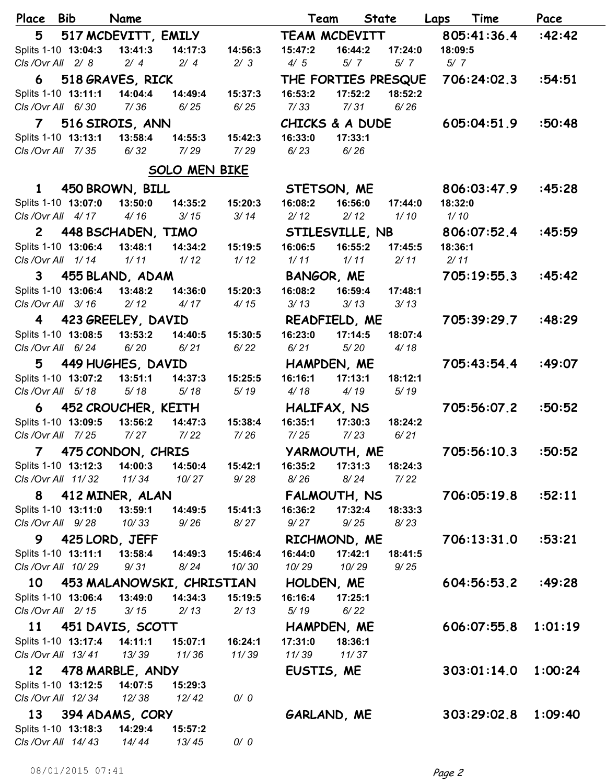| Place                                      | <b>Bib</b> | Name                 |                           |                  | Team         | State               |         | Laps    | Time        | Pace    |
|--------------------------------------------|------------|----------------------|---------------------------|------------------|--------------|---------------------|---------|---------|-------------|---------|
| 5                                          |            | 517 MCDEVITT, EMILY  |                           |                  |              | TEAM MCDEVITT       |         |         | 805:41:36.4 | :42:42  |
| Splits 1-10 13:04:3                        |            | 13:41:3              | 14:17:3                   | 14:56:3          | 15:47:2      | 16:44:2             | 17:24:0 | 18:09:5 |             |         |
| CIs / Ovr All 2/8                          |            | 2/4                  | 2/4                       | 2/3              | 4/5          | 5/7                 | 5/7     | 5/7     |             |         |
| 6                                          |            | 518 GRAVES, RICK     |                           |                  |              | THE FORTIES PRESQUE |         |         | 706:24:02.3 | :54:51  |
| Splits 1-10 13:11:1                        |            | 14:04:4              | 14:49:4                   | 15:37:3          | 16:53:2      | 17:52:2             | 18:52:2 |         |             |         |
| CIs / Ovr All 6/30                         |            | 7/36                 | 6/25                      | 6/25             | 7/33         | 7/31                | 6/26    |         |             |         |
|                                            |            | 7 516 SIROIS, ANN    |                           |                  |              | CHICKS & A DUDE     |         |         | 605:04:51.9 | :50:48  |
| Splits 1-10 13:13:1                        |            | 13:58:4              | 14:55:3                   | 15:42:3          | 16:33:0      | 17:33:1             |         |         |             |         |
| CIs / Ovr All 7/35                         |            | 6/32                 | 7/29                      | 7/29             | 6/23         | 6/26                |         |         |             |         |
|                                            |            |                      | <b>SOLO MEN BIKE</b>      |                  |              |                     |         |         |             |         |
| $\mathbf{1}$                               |            | 450 BROWN, BILL      |                           |                  |              | STETSON, ME         |         |         | 806:03:47.9 | :45:28  |
| Splits 1-10 13:07:0                        |            | 13:50:0              | 14:35:2                   | 15:20:3          | 16:08:2      | 16:56:0             | 17:44:0 | 18:32:0 |             |         |
| CIs/Ovr All 4/17                           |            | 4/16                 | 3/15                      | 3/14             | 2/12         | 2/12                | 1/10    | 1/10    |             |         |
| $\mathsf{2}$                               |            | 448 BSCHADEN, TIMO   |                           |                  |              | STILESVILLE, NB     |         |         | 806:07:52.4 | :45:59  |
| Splits 1-10 13:06:4                        |            | 13:48:1              | 14:34:2                   | 15:19:5          | 16:06:5      | 16:55:2             | 17:45:5 | 18:36:1 |             |         |
| CIs / Ovr All 1/14                         |            | 1/11                 | 1/12                      | 1/12             | 1/11         | 1/11                | 2/11    | 2/11    |             |         |
| 3                                          |            | 455 BLAND, ADAM      |                           |                  | BANGOR, ME   |                     |         |         | 705:19:55.3 | :45:42  |
| Splits 1-10 13:06:4                        |            | 13:48:2              | 14:36:0                   | 15:20:3          | 16:08:2      | 16:59:4             | 17:48:1 |         |             |         |
| CIs / Ovr All 3/16                         |            | 2/12                 | 4/17                      | 4/15             | 3/13         | 3/13                | 3/13    |         |             |         |
|                                            |            | 4 423 GREELEY, DAVID |                           |                  |              | READFIELD, ME       |         |         | 705:39:29.7 | :48:29  |
| Splits 1-10 13:08:5                        |            | 13:53:2              | 14:40:5                   | 15:30:5          | 16:23:0      | 17:14:5             | 18:07:4 |         |             |         |
| CIs / Ovr All 6/24                         |            | 6/20                 | 6/21                      | 6/22             | 6/21         | 5/20                | 4/18    |         |             |         |
| 5                                          |            | 449 HUGHES, DAVID    |                           |                  |              | HAMPDEN, ME         |         |         | 705:43:54.4 | :49:07  |
| Splits 1-10 13:07:2                        |            | 13:51:1              | 14:37:3                   | 15:25:5          | 16:16:1      | 17:13:1             | 18:12:1 |         |             |         |
| CIs / Ovr All 5/18                         |            | 5/18                 | 5/18                      | 5/19             | 4/18         | 4/19                | 5/19    |         |             |         |
| 6                                          |            | 452 CROUCHER, KEITH  |                           |                  |              | HALIFAX, NS         |         |         | 705:56:07.2 | :50:52  |
| Splits 1-10 13:09:5                        |            | 13:56:2              | 14:47:3                   | 15:38:4          | 16:35:1      | 17:30:3             | 18:24:2 |         |             |         |
| CIs / Ovr All 7/25                         |            | 7/27                 | 7/22                      | 7/26             | 7/25         | 7/23                | 6/21    |         |             |         |
| $\overline{7}$                             |            | 475 CONDON, CHRIS    |                           |                  | YARMOUTH, ME |                     |         |         | 705:56:10.3 | :50:52  |
| Splits 1-10 13:12:3                        |            | 14:00:3              | 14:50:4                   | 15:42:1          | 16:35:2      | 17:31:3             | 18:24:3 |         |             |         |
| CIs / Ovr All 11/32                        |            | 11/34                | 10/27                     | 9/28             | 8/26         | 8/24                | 7/22    |         |             |         |
|                                            |            | 8 412 MINER, ALAN    |                           |                  |              | FALMOUTH, NS        |         |         | 706:05:19.8 | :52:11  |
| Splits 1-10 13:11:0                        |            | 13:59:1              | 14:49:5                   | 15:41:3          | 16:36:2      | 17:32:4             | 18:33:3 |         |             |         |
| CIs / Ovr All 9/28                         |            | 10/33                | 9/26                      | 8/27             | 9/27         | 9/25                | 8/23    |         |             |         |
|                                            |            | 9 425 LORD, JEFF     |                           |                  |              | RICHMOND, ME        |         |         | 706:13:31.0 | :53:21  |
| Splits 1-10 13:11:1                        |            | 13:58:4              | 14:49:3                   | 15:46:4          | 16:44:0      | 17:42:1             | 18:41:5 |         |             |         |
| CIs / Ovr All 10/29                        |            | 9/31                 | 8/24                      | 10/30            | 10/29        | 10/29               | 9/25    |         |             |         |
| 10                                         |            |                      | 453 MALANOWSKI, CHRISTIAN |                  |              | HOLDEN, ME          |         |         | 604:56:53.2 | :49:28  |
| Splits 1-10 13:06:4                        |            | 13:49:0              | 14:34:3                   | 15:19:5          | 16:16:4      | 17:25:1             |         |         |             |         |
| CIs / Ovr All 2/15                         |            | 3/15                 | 2/13                      | 2/13             | 5/19         | 6/22                |         |         |             |         |
|                                            |            | 11 451 DAVIS, SCOTT  |                           |                  |              | HAMPDEN, ME         |         |         | 606:07:55.8 | 1:01:19 |
| Splits 1-10 13:17:4<br>Cls / Ovr All 13/41 |            | 14:11:1              | 15:07:1                   | 16:24:1<br>11/39 | 17:31:0      | 18:36:1<br>11/37    |         |         |             |         |
|                                            |            | 13/39                | 11/36                     |                  | 11/39        |                     |         |         |             |         |
|                                            |            | 12 478 MARBLE, ANDY  |                           |                  | EUSTIS, ME   |                     |         |         | 303:01:14.0 | 1:00:24 |
| Splits 1-10 13:12:5<br>CIs / Ovr All 12/34 |            | 14:07:5              | 15:29:3                   | 0/0              |              |                     |         |         |             |         |
|                                            |            | 12/38                | 12/42                     |                  |              |                     |         |         |             |         |
| 13                                         |            | 394 ADAMS, CORY      |                           |                  |              | GARLAND, ME         |         |         | 303:29:02.8 | 1:09:40 |
| Splits 1-10 13:18:3<br>CIs / Ovr All 14/43 |            | 14:29:4<br>14/44     | 15:57:2                   | 0/0              |              |                     |         |         |             |         |
|                                            |            |                      | 13/45                     |                  |              |                     |         |         |             |         |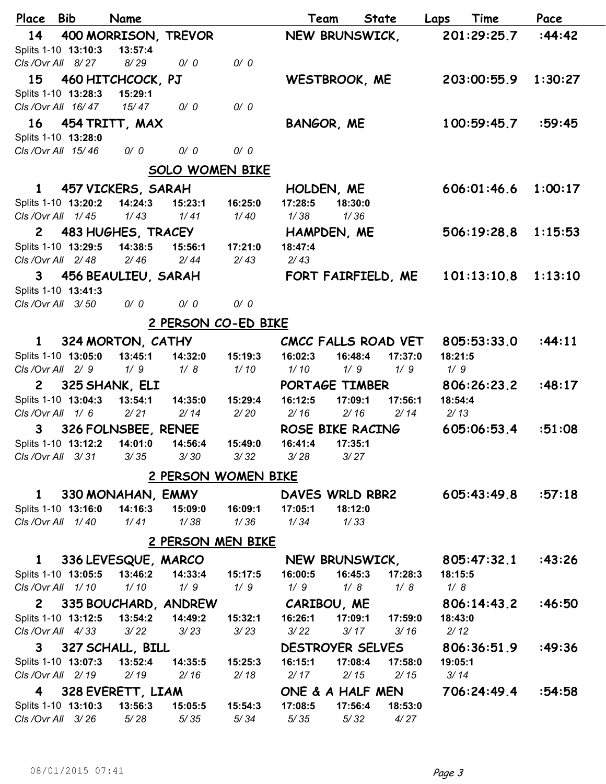| Place Bib           |                     | Name                   |                        |                  | Team                | <b>State</b>       | Laps    | Time        | Pace    |  |
|---------------------|---------------------|------------------------|------------------------|------------------|---------------------|--------------------|---------|-------------|---------|--|
| 14                  |                     | 400 MORRISON, TREVOR   |                        |                  | NEW BRUNSWICK,      |                    |         | 201:29:25.7 | :44:42  |  |
|                     | Splits 1-10 13:10:3 | 13:57:4                |                        |                  |                     |                    |         |             |         |  |
|                     | CIs / Ovr All 8/27  | 8/29                   | 0/0                    | 0/0              |                     |                    |         |             |         |  |
|                     |                     | 15 460 HITCHCOCK, PJ   |                        |                  | WESTBROOK, ME       |                    |         | 203:00:55.9 | 1:30:27 |  |
|                     | Splits 1-10 13:28:3 | 15:29:1                |                        |                  |                     |                    |         |             |         |  |
|                     | CIs / Ovr All 16/47 | 15/47                  | 0/0                    | 0/0              |                     |                    |         |             |         |  |
|                     |                     | 16 454 TRITT, MAX      |                        |                  | BANGOR, ME          |                    |         | 100:59:45.7 | :59:45  |  |
|                     | Splits 1-10 13:28:0 |                        |                        |                  |                     |                    |         |             |         |  |
|                     | CIs / Ovr All 15/46 | 0/0                    | 0/0                    | 0/0              |                     |                    |         |             |         |  |
|                     |                     |                        | <b>SOLO WOMEN BIKE</b> |                  |                     |                    |         |             |         |  |
| $\mathbf{1}$        |                     | 457 VICKERS, SARAH     |                        |                  | HOLDEN, ME          |                    |         | 606:01:46.6 | 1:00:17 |  |
|                     | Splits 1-10 13:20:2 | 14:24:3                | 15:23:1                | 16:25:0          | 17:28:5             | 18:30:0            |         |             |         |  |
|                     | CIs / Ovr All 1/45  | 1/43                   | 1/41                   | 1/40             | 1/38                | 1/36               |         |             |         |  |
| $\mathbf{2}$        |                     | 483 HUGHES, TRACEY     |                        |                  | HAMPDEN, ME         |                    |         | 506:19:28.8 | 1:15:53 |  |
|                     | Splits 1-10 13:29:5 | 14:38:5                | 15:56:1                | 17:21:0          | 18:47:4             |                    |         |             |         |  |
|                     | CIs / Ovr All 2/48  | 2/46                   | 2/44                   | 2/43             | 2/43                |                    |         |             |         |  |
|                     |                     | 3 456 BEAULIEU, SARAH  |                        |                  | FORT FAIRFIELD, ME  |                    |         | 101:13:10.8 | 1:13:10 |  |
|                     | Splits 1-10 13:41:3 |                        |                        |                  |                     |                    |         |             |         |  |
|                     | CIs / Ovr All 3/50  | 0/0                    | 0/0                    | 0/0              |                     |                    |         |             |         |  |
| 2 PERSON CO-ED BIKE |                     |                        |                        |                  |                     |                    |         |             |         |  |
| 1                   |                     | 324 MORTON, CATHY      |                        |                  | CMCC FALLS ROAD VET |                    |         | 805:53:33.0 | :44:11  |  |
|                     | Splits 1-10 13:05:0 | 13:45:1                | 14:32:0                | 15:19:3          | 16:02:3             | 16:48:4<br>17:37:0 | 18:21:5 |             |         |  |
|                     | CIs / Ovr All 2/9   | 1/9                    | 1/8                    | 1/10             | 1/10                | 1/9<br>1/9         | 1/9     |             |         |  |
| $\mathbf{2}$        |                     | 325 SHANK, ELI         |                        |                  | PORTAGE TIMBER      |                    |         | 806:26:23.2 | :48:17  |  |
|                     | Splits 1-10 13:04:3 | 13:54:1                | 14:35:0                | 15:29:4          | 16:12:5             | 17:09:1<br>17:56:1 | 18:54:4 |             |         |  |
|                     | CIs/Ovr All 1/6     | 2/21                   | 2/14                   | 2/20             | 2/16                | 2/16<br>2/14       | 2/13    |             |         |  |
| 3                   |                     | 326 FOLNSBEE, RENEE    |                        |                  | ROSE BIKE RACING    |                    |         | 605:06:53.4 | :51:08  |  |
|                     | Splits 1-10 13:12:2 | 14:01:0                | 14:56:4                | 15:49:0          | 16:41:4             | 17:35:1            |         |             |         |  |
|                     | CIs/Ovr All 3/31    | 3/35                   | 3/30                   | 3/32             | 3/28                | 3/27               |         |             |         |  |
|                     |                     |                        | 2 PERSON WOMEN BIKE    |                  |                     |                    |         |             |         |  |
| $\mathbf{1}$        |                     | 330 MONAHAN, EMMY      |                        |                  | DAVES WRLD RBR2     |                    |         | 605:43:49.8 | :57:18  |  |
|                     | Splits 1-10 13:16:0 | 14:16:3                | 15:09:0  16:09:1       |                  | 17:05:1             | 18:12:0            |         |             |         |  |
|                     | CIs/Ovr All 1/40    | 1/41                   | 1/38                   | 1/36             | 1/34                | 1/33               |         |             |         |  |
|                     |                     |                        | 2 PERSON MEN BIKE      |                  |                     |                    |         |             |         |  |
| $\mathbf{1}$        |                     | 336 LEVESQUE, MARCO    |                        |                  | NEW BRUNSWICK,      |                    |         | 805:47:32.1 | :43:26  |  |
|                     | Splits 1-10 13:05:5 | 13:46:2                |                        | 14:33:4  15:17:5 | 16:00:5             | 16:45:3<br>17:28:3 | 18:15:5 |             |         |  |
|                     | CIs/Ovr All 1/10    | 1/10                   | 1/9                    | 1/9              | 1/9                 | 1/8<br>1/8         | 1/8     |             |         |  |
|                     |                     | 2 335 BOUCHARD, ANDREW |                        |                  | CARIBOU, ME         |                    |         | 806:14:43.2 | :46:50  |  |
|                     | Splits 1-10 13:12:5 | 13:54:2                |                        | 14:49:2  15:32:1 | 16:26:1             | 17:09:1  17:59:0   | 18:43:0 |             |         |  |
|                     | CIs/Ovr All 4/33    | 3/22                   |                        | $3/23$ $3/23$    | 3/22                | 3/17<br>3/16       | 2/12    |             |         |  |
|                     |                     | 3 327 SCHALL, BILL     |                        |                  | DESTROYER SELVES    |                    |         | 806:36:51.9 | :49:36  |  |
|                     | Splits 1-10 13:07:3 | 13:52:4                | 14:35:5  15:25:3       |                  | 16:15:1             | 17:08:4<br>17:58:0 | 19:05:1 |             |         |  |
|                     | CIs / Ovr All 2/19  | 2/19                   |                        | $2/16$ $2/18$    | 2/17                | 2/15<br>2/15       | 3/14    |             |         |  |
|                     |                     | 4 328 EVERETT, LIAM    |                        |                  | ONE & A HALF MEN    |                    |         | 706:24:49.4 | :54:58  |  |
|                     | Splits 1-10 13:10:3 | 13:56:3                |                        |                  | 17:08:5             | 17:56:4<br>18:53:0 |         |             |         |  |
|                     | CIs / Ovr All 3/26  | 5/28                   | 5/35                   | 5/34             | 5/35                | 5/32<br>4/27       |         |             |         |  |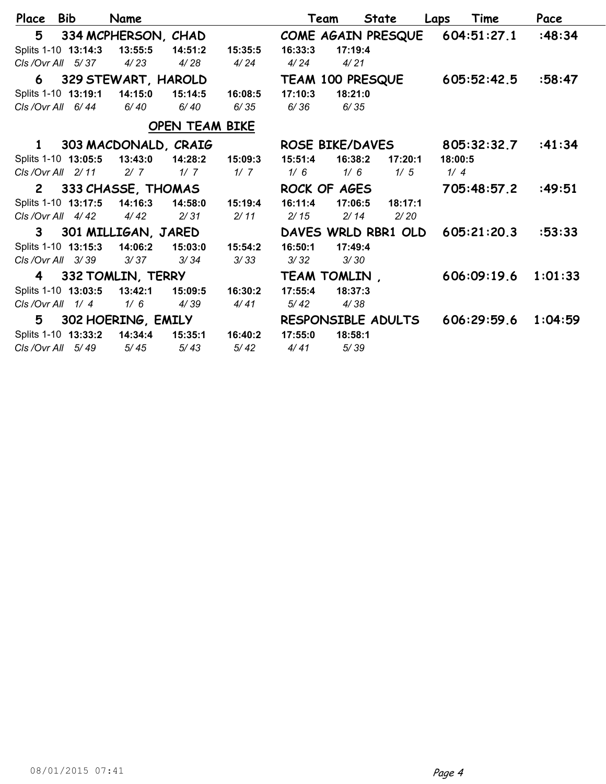| Place                 | <b>Bib</b> |                     | Name                   |                |         |                        | Team    | State               | Laps    | Time                           | Pace    |
|-----------------------|------------|---------------------|------------------------|----------------|---------|------------------------|---------|---------------------|---------|--------------------------------|---------|
| 5                     |            |                     | 334 MCPHERSON, CHAD    |                |         |                        |         |                     |         | COME AGAIN PRESQUE 604:51:27.1 | :48:34  |
|                       |            | Splits 1-10 13:14:3 | 13:55:5                | 14:51:2        | 15:35:5 | 16:33:3                | 17:19:4 |                     |         |                                |         |
| $C/s$ /Ovr All $5/37$ |            |                     | 4/23                   | 4/28           | 4/24    | 4/24                   | 4/21    |                     |         |                                |         |
|                       |            |                     | 6 329 STEWART, HAROLD  |                |         |                        |         | TEAM 100 PRESQUE    |         | 605:52:42.5                    | :58:47  |
|                       |            | Splits 1-10 13:19:1 | 14:15:0                | 15:14:5        | 16:08:5 | 17:10:3                | 18:21:0 |                     |         |                                |         |
| CIs / Ovr All 6/44    |            |                     | 6/40                   | 6/40           | 6/35    | 6/36                   | 6/35    |                     |         |                                |         |
|                       |            |                     |                        | OPEN TEAM BIKE |         |                        |         |                     |         |                                |         |
|                       |            |                     | 1 303 MACDONALD, CRAIG |                |         | <b>ROSE BIKE/DAVES</b> |         |                     |         | 805:32:32.7                    | :41:34  |
|                       |            | Splits 1-10 13:05:5 | 13:43:0                | 14:28:2        | 15:09:3 | 15:51:4                | 16:38:2 | 17:20:1             | 18:00:5 |                                |         |
| CIs/Ovr All 2/11      |            |                     | 2/7                    | 1/7            | 1/7     | 1/6                    | 1/6     | 1/5                 | 1/4     |                                |         |
|                       |            |                     | 2 333 CHASSE, THOMAS   |                |         | ROCK OF AGES           |         |                     |         | 705:48:57.2                    | :49:51  |
|                       |            | Splits 1-10 13:17:5 | 14:16:3  14:58:0       |                | 15:19:4 | 16:11:4                | 17:06:5 | 18:17:1             |         |                                |         |
| CIs/Ovr All 4/42      |            |                     | 4/42                   | 2/31           | 2/11    | 2/15                   | 2/14    | 2/20                |         |                                |         |
|                       |            |                     | 3 301 MILLIGAN, JARED  |                |         |                        |         | DAVES WRLD RBR1 OLD |         | 605:21:20.3                    | :53:33  |
|                       |            | Splits 1-10 13:15:3 | 14:06:2                | 15:03:0        | 15:54:2 | 16:50:1                | 17:49:4 |                     |         |                                |         |
| CIs / Ovr All 3/39    |            |                     | 3/37                   | 3/34           | 3/33    | 3/32                   | 3/30    |                     |         |                                |         |
|                       |            |                     | 4 332 TOMLIN, TERRY    |                |         | TEAM TOMLIN,           |         |                     |         | 606:09:19.6                    | 1:01:33 |
| Splits 1-10 13:03:5   |            |                     | 13:42:1                | 15:09:5        | 16:30:2 | 17:55:4                | 18:37:3 |                     |         |                                |         |
| CIs / Ovr All 1/4     |            |                     | 1/6                    | 4/39           | 4/41    | 5/42                   | 4/38    |                     |         |                                |         |
| 5                     |            |                     | 302 HOERING, EMILY     |                |         | RESPONSIBLE ADULTS     |         |                     |         | 606:29:59.6                    | 1:04:59 |
| Splits 1-10 13:33:2   |            |                     | 14:34:4                | 15:35:1        | 16:40:2 | 17:55:0                | 18:58:1 |                     |         |                                |         |
| $C/s$ /Ovr All $5/49$ |            |                     | 5/45                   | 5/43           | 5/42    | 4/41                   | 5/39    |                     |         |                                |         |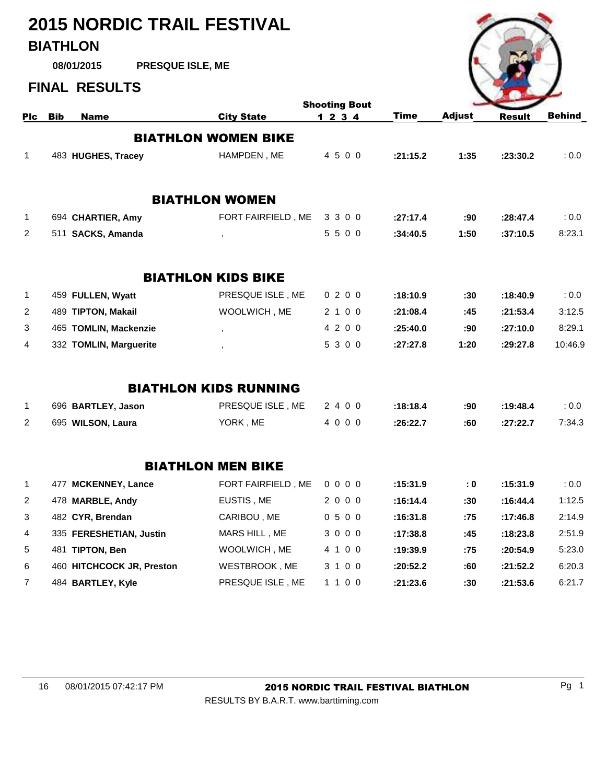# **2015 NORDIC TRAIL FESTIVAL BIATHLON**

**PRESQUE ISLE, ME 08/01/2015**

### **FINAL RESULTS**



|                |            |                           |                              | <b>Shooting Bout</b> |             |               |               |               |
|----------------|------------|---------------------------|------------------------------|----------------------|-------------|---------------|---------------|---------------|
| Plc            | <b>Bib</b> | <b>Name</b>               | <b>City State</b>            | 1234                 | <b>Time</b> | <b>Adjust</b> | <b>Result</b> | <b>Behind</b> |
|                |            |                           | <b>BIATHLON WOMEN BIKE</b>   |                      |             |               |               |               |
| $\mathbf 1$    |            | 483 HUGHES, Tracey        | HAMPDEN, ME                  | 4 5 0 0              | :21:15.2    | 1:35          | :23:30.2      | : 0.0         |
|                |            |                           |                              |                      |             |               |               |               |
|                |            |                           | <b>BIATHLON WOMEN</b>        |                      |             |               |               |               |
| $\mathbf{1}$   |            | 694 CHARTIER, Amy         | FORT FAIRFIELD, ME           | 3 3 0 0              | :27:17.4    | :90           | :28:47.4      | : 0.0         |
| 2              |            | 511 SACKS, Amanda         | $^\mathrm{J}$                | 5500                 | :34:40.5    | 1:50          | :37:10.5      | 8:23.1        |
|                |            |                           |                              |                      |             |               |               |               |
|                |            |                           | <b>BIATHLON KIDS BIKE</b>    |                      |             |               |               |               |
| $\mathbf 1$    |            | 459 FULLEN, Wyatt         | PRESQUE ISLE, ME             | 0200                 | :18:10.9    | :30           | :18:40.9      | : 0.0         |
| 2              |            | 489 TIPTON, Makail        | WOOLWICH, ME                 | 2 1 0 0              | :21:08.4    | :45           | :21:53.4      | 3:12.5        |
| 3              |            | 465 TOMLIN, Mackenzie     | $\overline{\phantom{a}}$     | 4 2 0 0              | :25:40.0    | :90           | :27:10.0      | 8:29.1        |
| $\overline{4}$ |            | 332 TOMLIN, Marguerite    |                              | 5 3 0 0              | :27:27.8    | 1:20          | :29:27.8      | 10:46.9       |
|                |            |                           | <b>BIATHLON KIDS RUNNING</b> |                      |             |               |               |               |
| $\mathbf 1$    |            | 696 BARTLEY, Jason        | PRESQUE ISLE, ME             | 2400                 | :18:18.4    | :90           | :19:48.4      | :0.0          |
| $\overline{2}$ |            | 695 WILSON, Laura         | YORK, ME                     | 4000                 | :26:22.7    | :60           | :27:22.7      | 7:34.3        |
|                |            |                           | <b>BIATHLON MEN BIKE</b>     |                      |             |               |               |               |
| $\mathbf 1$    |            | 477 MCKENNEY, Lance       | FORT FAIRFIELD, ME           | 0000                 | :15:31.9    | : 0           | :15:31.9      | :0.0          |
| 2              |            | 478 MARBLE, Andy          | EUSTIS, ME                   | 2000                 | :16:14.4    | :30           | :16:44.4      | 1:12.5        |
| 3              |            | 482 CYR, Brendan          | CARIBOU, ME                  | 0500                 | :16:31.8    | :75           | :17:46.8      | 2:14.9        |
| 4              |            | 335 FERESHETIAN, Justin   | MARS HILL, ME                | 3000                 | :17:38.8    | :45           | :18:23.8      | 2:51.9        |
| 5              |            | 481 TIPTON, Ben           | WOOLWICH, ME                 | 4 1 0 0              | :19:39.9    | :75           | :20:54.9      | 5:23.0        |
| 6              |            | 460 HITCHCOCK JR, Preston | WESTBROOK, ME                | 3 1 0 0              | :20:52.2    | :60           | :21:52.2      | 6:20.3        |
| $\overline{7}$ |            | 484 BARTLEY, Kyle         | PRESQUE ISLE, ME             | 1 1 0 0              | :21:23.6    | :30           | :21:53.6      | 6:21.7        |

#### 16 08/01/2015 07:42:17 PM 2015 NORDIC TRAIL FESTIVAL BIATHLON Pg 1

RESULTS BY B.A.R.T. www.barttiming.com